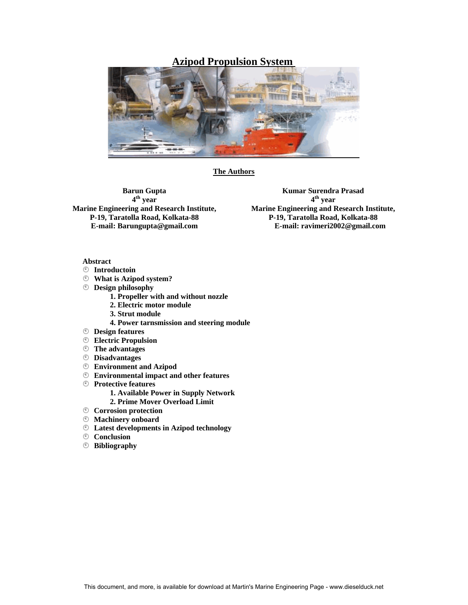# **Azipod Propulsion System**



**The Authors** 

**Barun Gupta 4th year Marine Engineering and Research Institute, P-19, Taratolla Road, Kolkata-88 E-mail: Barungupta@gmail.com** 

**Kumar Surendra Prasad 4th year Marine Engineering and Research Institute, P-19, Taratolla Road, Kolkata-88 E-mail: [ravimeri2002@gmail.com](mailto:ravimeri2002@gmail.com)**

# **Abstract**

- ¦ **Introductoin**
- ¦ **What is Azipod system?**
- ¦ **Design philosophy** 
	- **1. Propeller with and without nozzle**
	- **2. Electric motor module**
	- **3. Strut module**
	- **4. Power tarnsmission and steering module**
- ¦ **Design features**
- ¦ **Electric Propulsion**
- ¦ **The advantages**
- ¦ **Disadvantages**
- ¦ **Environment and Azipod**
- ¦ **Environmental impact and other features**
- ¦ **Protective features**
	- **1. Available Power in Supply Network**
	- **2. Prime Mover Overload Limit**
- ¦ **Corrosion protection**
- ¦ **Machinery onboard**
- ¦ **Latest developments in Azipod technology**
- ¦ **Conclusion**
- ¦ **Bibliography**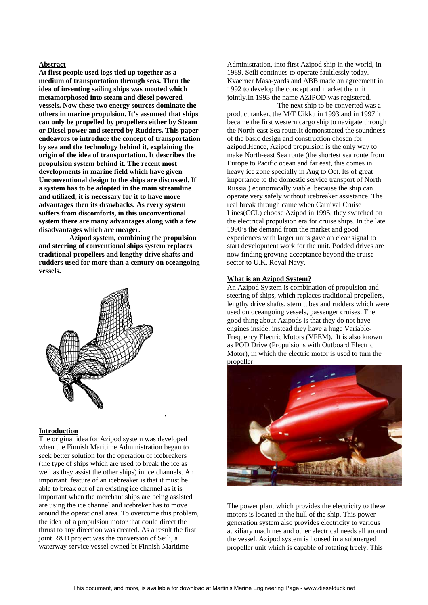### **Abstract**

**At first people used logs tied up together as a medium of transportation through seas. Then the idea of inventing sailing ships was mooted which metamorphosed into steam and diesel powered vessels. Now these two energy sources dominate the others in marine propulsion. It's assumed that ships can only be propelled by propellers either by Steam or Diesel power and steered by Rudders. This paper endeavors to introduce the concept of transportation by sea and the technology behind it, explaining the origin of the idea of transportation. It describes the propulsion system behind it. The recent most developments in marine field which have given Unconventional design to the ships are discussed. If a system has to be adopted in the main streamline and utilized, it is necessary for it to have more advantages then its drawbacks. As every system suffers from discomforts, in this unconventional system there are many advantages along with a few disadvantages which are meager.** 

 **Azipod system, combining the propulsion and steering of conventional ships system replaces traditional propellers and lengthy drive shafts and rudders used for more than a century on oceangoing vessels.** 



### **Introduction**

The original idea for Azipod system was developed when the Finnish Maritime Administration began to seek better solution for the operation of icebreakers (the type of ships which are used to break the ice as well as they assist the other ships) in ice channels. An important feature of an icebreaker is that it must be able to break out of an existing ice channel as it is important when the merchant ships are being assisted are using the ice channel and icebreker has to move around the operational area. To overcome this problem, the idea of a propulsion motor that could direct the thrust to any direction was created. As a result the first joint R&D project was the conversion of Seili, a waterway service vessel owned bt Finnish Maritime

**.** 

Administration, into first Azipod ship in the world, in 1989. Seili continues to operate faultlessly today. Kvaerner Masa-yards and ABB made an agreement in 1992 to develop the concept and market the unit jointly.In 1993 the name AZIPOD was registered.

 The next ship to be converted was a product tanker, the M/T Uikku in 1993 and in 1997 it became the first western cargo ship to navigate through the North-east Sea route.It demonstrated the soundness of the basic design and construction chosen for azipod.Hence, Azipod propulsion is the only way to make North-east Sea route (the shortest sea route from Europe to Pacific ocean and far east, this comes in heavy ice zone specially in Aug to Oct. Its of great importance to the domestic service transport of North Russia.) economically viable because the ship can operate very safely without icebreaker assistance. The real break through came when Carnival Cruise Lines(CCL) choose Azipod in 1995, they switched on the electrical propulsion era for cruise ships. In the late 1990's the demand from the market and good experiences with larger units gave an clear signal to start development work for the unit. Podded drives are now finding growing acceptance beyond the cruise sector to U.K. Royal Navy.

### **What is an Azipod System?**

An Azipod System is combination of propulsion and steering of ships, which replaces traditional propellers, lengthy drive shafts, stern tubes and rudders which were used on oceangoing vessels, passenger cruises. The good thing about Azipods is that they do not have engines inside; instead they have a huge Variable-Frequency Electric Motors (VFEM). It is also known as POD Drive (Propulsions with Outboard Electric Motor), in which the electric motor is used to turn the propeller.



The power plant which provides the electricity to these motors is located in the hull of the ship. This powergeneration system also provides electricity to various auxiliary machines and other electrical needs all around the vessel. Azipod system is housed in a submerged propeller unit which is capable of rotating freely. This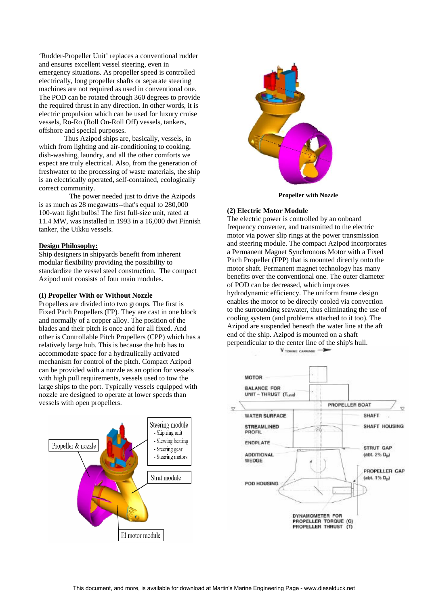'Rudder-Propeller Unit' replaces a conventional rudder and ensures excellent vessel steering, even in emergency situations. As propeller speed is controlled electrically, long propeller shafts or separate steering machines are not required as used in conventional one. The POD can be rotated through 360 degrees to provide the required thrust in any direction. In other words, it is electric propulsion which can be used for luxury cruise vessels, Ro-Ro (Roll On-Roll Off) vessels, tankers, offshore and special purposes.

 Thus Azipod ships are, basically, vessels, in which from lighting and air-conditioning to cooking, dish-washing, laundry, and all the other comforts we expect are truly electrical. Also, from the generation of freshwater to the processing of waste materials, the ship is an electrically operated, self-contained, ecologically correct community.

 The power needed just to drive the Azipods is as much as 28 megawatts--that's equal to 280,000 100-watt light bulbs! The first full-size unit, rated at 11.4 MW, was installed in 1993 in a 16,000 dwt Finnish tanker, the Uikku vessels.

### **Design Philosophy:**

Ship designers in shipyards benefit from inherent modular flexibility providing the possibility to standardize the vessel steel construction. The compact Azipod unit consists of four main modules.

### **(I) Propeller With or Without Nozzle**

Propellers are divided into two groups. The first is Fixed Pitch Propellers (FP). They are cast in one block and normally of a copper alloy. The position of the blades and their pitch is once and for all fixed. And other is Controllable Pitch Propellers (CPP) which has a relatively large hub. This is because the hub has to accommodate space for a hydraulically activated mechanism for control of the pitch. Compact Azipod can be provided with a nozzle as an option for vessels with high pull requirements, vessels used to tow the large ships to the port. Typically vessels equipped with nozzle are designed to operate at lower speeds than vessels with open propellers.





**Propeller with Nozzle**

#### **(2) Electric Motor Module**

The electric power is controlled by an onboard frequency converter, and transmitted to the electric motor via power slip rings at the power transmission and steering module. The compact Azipod incorporates a Permanent Magnet Synchronous Motor with a Fixed Pitch Propeller (FPP) that is mounted directly onto the motor shaft. Permanent magnet technology has many benefits over the conventional one. The outer diameter of POD can be decreased, which improves hydrodynamic efficiency. The uniform frame design enables the motor to be directly cooled via convection to the surrounding seawater, thus eliminating the use of cooling system (and problems attached to it too). The Azipod are suspended beneath the water line at the aft end of the ship. Azipod is mounted on a shaft perpendicular to the center line of the ship's hull.

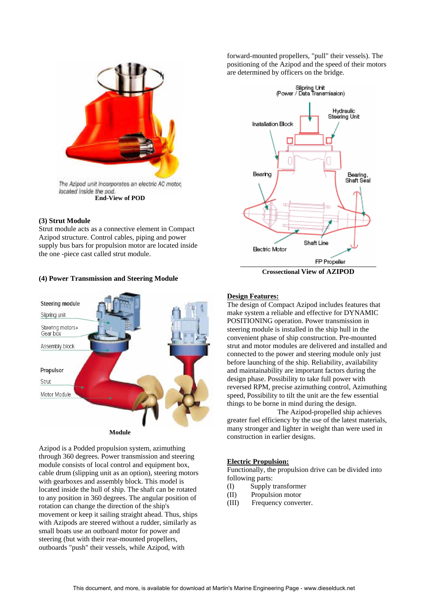

# **(3) Strut Module**

Strut module acts as a connective element in Compact Azipod structure. Control cables, piping and power supply bus bars for propulsion motor are located inside the one -piece cast called strut module.

# **(4) Power Transmission and Steering Module**



Azipod is a Podded propulsion system, azimuthing through 360 degrees. Power transmission and steering module consists of local control and equipment box, cable drum (slipping unit as an option), steering motors with gearboxes and assembly block. This model is located inside the hull of ship. The shaft can be rotated to any position in 360 degrees. The angular position of rotation can change the direction of the ship's movement or keep it sailing straight ahead. Thus, ships with Azipods are steered without a rudder, similarly as small boats use an outboard motor for power and steering (but with their rear-mounted propellers, outboards "push" their vessels, while Azipod, with

forward-mounted propellers, "pull" their vessels). The positioning of the Azipod and the speed of their motors are determined by officers on the bridge.



**Crossectional View of AZIPOD** 

# **Design Features:**

The design of Compact Azipod includes features that make system a reliable and effective for DYNAMIC POSITIONING operation. Power transmission in steering module is installed in the ship hull in the convenient phase of ship construction. Pre-mounted strut and motor modules are delivered and installed and connected to the power and steering module only just before launching of the ship. Reliability, availability and maintainability are important factors during the design phase. Possibility to take full power with reversed RPM, precise azimuthing control, Azimuthing speed, Possibility to tilt the unit are the few essential things to be borne in mind during the design.

 The Azipod-propelled ship achieves greater fuel efficiency by the use of the latest materials, many stronger and lighter in weight than were used in construction in earlier designs.

### **Electric Propulsion:**

Functionally, the propulsion drive can be divided into following parts:

- (I) Supply transformer
- (II) Propulsion motor
- (III) Frequency converter.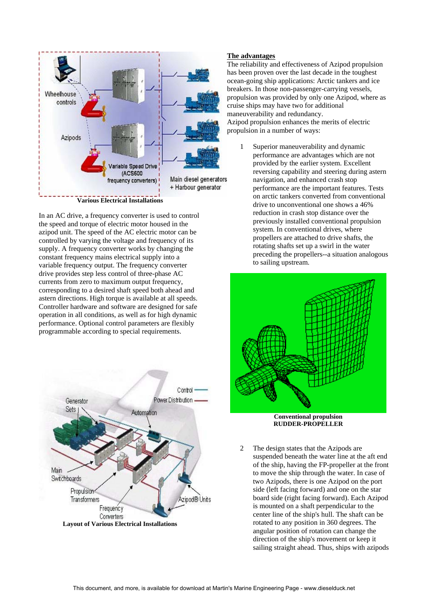

In an AC drive, a frequency converter is used to control the speed and torque of electric motor housed in the azipod unit. The speed of the AC electric motor can be controlled by varying the voltage and frequency of its supply. A frequency converter works by changing the constant frequency mains electrical supply into a variable frequency output. The frequency converter drive provides step less control of three-phase AC currents from zero to maximum output frequency, corresponding to a desired shaft speed both ahead and astern directions. High torque is available at all speeds. Controller hardware and software are designed for safe operation in all conditions, as well as for high dynamic performance. Optional control parameters are flexibly programmable according to special requirements.



# **The advantages**

The reliability and effectiveness of Azipod propulsion has been proven over the last decade in the toughest ocean-going ship applications: Arctic tankers and ice breakers. In those non-passenger-carrying vessels, propulsion was provided by only one Azipod, where as cruise ships may have two for additional maneuverability and redundancy. Azipod propulsion enhances the merits of electric propulsion in a number of ways:

1 Superior maneuverability and dynamic performance are advantages which are not provided by the earlier system. Excellent reversing capability and steering during astern navigation, and enhanced crash stop performance are the important features. Tests on arctic tankers converted from conventional drive to unconventional one shows a 46% reduction in crash stop distance over the previously installed conventional propulsion system. In conventional drives, where propellers are attached to drive shafts, the rotating shafts set up a swirl in the water preceding the propellers--a situation analogous to sailing upstream.



**RUDDER-PROPELLER** 

2 The design states that the Azipods are suspended beneath the water line at the aft end of the ship, having the FP-propeller at the front to move the ship through the water. In case of two Azipods, there is one Azipod on the port side (left facing forward) and one on the star board side (right facing forward). Each Azipod is mounted on a shaft perpendicular to the center line of the ship's hull. The shaft can be rotated to any position in 360 degrees. The angular position of rotation can change the direction of the ship's movement or keep it sailing straight ahead. Thus, ships with azipods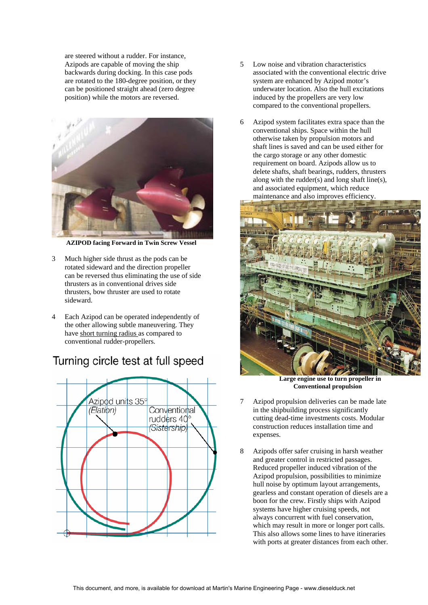are steered without a rudder. For instance, Azipods are capable of moving the ship backwards during docking. In this case pods are rotated to the 180-degree position, or they can be positioned straight ahead (zero degree position) while the motors are reversed.



 **AZIPOD facing Forward in Twin Screw Vessel** 

- 3 Much higher side thrust as the pods can be rotated sideward and the direction propeller can be reversed thus eliminating the use of side thrusters as in conventional drives side thrusters, bow thruster are used to rotate sideward.
- 4 Each Azipod can be operated independently of the other allowing subtle maneuvering. They have short turning radius as compared to conventional rudder-propellers.

# Turning circle test at full speed



- 5 Low noise and vibration characteristics associated with the conventional electric drive system are enhanced by Azipod motor's underwater location. Also the hull excitations induced by the propellers are very low compared to the conventional propellers.
- 6 Azipod system facilitates extra space than the conventional ships. Space within the hull otherwise taken by propulsion motors and shaft lines is saved and can be used either for the cargo storage or any other domestic requirement on board. Azipods allow us to delete shafts, shaft bearings, rudders, thrusters along with the rudder(s) and long shaft line(s), and associated equipment, which reduce maintenance and also improves efficiency.



 **Large engine use to turn propeller in Conventional propulsion**

- 7 Azipod propulsion deliveries can be made late in the shipbuilding process significantly cutting dead-time investments costs. Modular construction reduces installation time and expenses.
- 8 Azipods offer safer cruising in harsh weather and greater control in restricted passages. Reduced propeller induced vibration of the Azipod propulsion, possibilities to minimize hull noise by optimum layout arrangements, gearless and constant operation of diesels are a boon for the crew. Firstly ships with Azipod systems have higher cruising speeds, not always concurrent with fuel conservation, which may result in more or longer port calls. This also allows some lines to have itineraries with ports at greater distances from each other.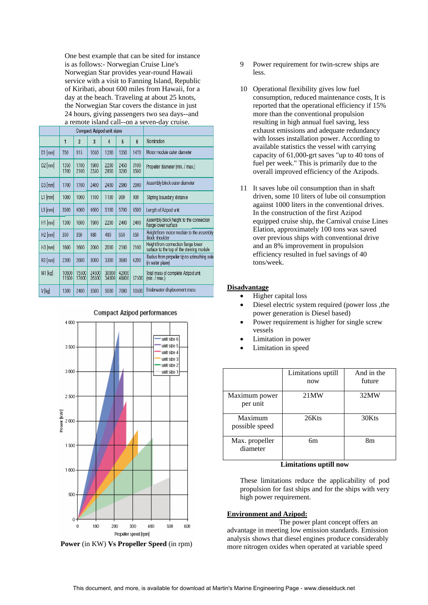One best example that can be sited for instance is as follows:- Norwegian Cruise Line's Norwegian Star provides year-round Hawaii service with a visit to Fanning Island, Republic of Kiribati, about 600 miles from Hawaii, for a day at the beach. Traveling at about 25 knots, the Norwegian Star covers the distance in just 24 hours, giving passengers two sea days--and a remote island call--on a seven-day cruise.

| $\mathsf{u}_1 \mathsf{u}_2 \mathsf{v}_3$ |                                  |                |                |                |                |                |                                                                                  |  |
|------------------------------------------|----------------------------------|----------------|----------------|----------------|----------------|----------------|----------------------------------------------------------------------------------|--|
|                                          | <b>Compact Azipod unit sizes</b> |                |                |                |                |                |                                                                                  |  |
|                                          | 1                                | $\overline{2}$ | $\overline{3}$ | 4              | 5              | $6\phantom{a}$ | Nomination                                                                       |  |
| $D1$ [mm]                                | 750                              | 915            | 1050           | 1200           | 1350           | 1470           | Motor module outer diameter                                                      |  |
| $D2$ [mm]                                | 1350<br>1700                     | 1700<br>2100   | 1900<br>2350   | 2200<br>2850   | 2450<br>3200   | 3100<br>3500   | Propeller diameter (min. / max.)                                                 |  |
| $D3$ [mm]                                | 1700                             | 1700           | 2400           | 2400           | 2990           | 2990           | Assembly block outer diameter                                                    |  |
| $L1$ [mm]                                | 1000                             | 1000           | 1100           | 1100           | 900            | 900            | Slipring boundary distance                                                       |  |
| $L3$ [mm]                                | 3500                             | 4000           | 4600           | 5100           | 5700           | 6500           | Length of Azipod unit                                                            |  |
| $H1$ [mm]                                | 1300                             | 1600           | 1900           | 2200           | 2400           | 2400           | Assembly block height to the connection<br>flange lower surface                  |  |
| $H2$ [mm]                                | 350                              | 350            | 480            | 480            | 650            | 650            | Height from motor module to the assembly<br>block shoulder                       |  |
| $H3$ [mm]                                | 1600                             | 1600           | 2000           | 2000           | 2100           | 2100           | Height from connection flange lower<br>surface to the top of the steering module |  |
| $R3$ [mm]                                | 2300                             | 2600           | 3000           | 3300           | 3600           | 4200           | Radius from propeller tip to azimuthing axle<br>(in water plane)                 |  |
| M1 kg                                    | 10500<br>11500                   | 15500<br>17000 | 24500<br>26500 | 30000<br>34000 | 42000<br>48000 | 57500          | Total mass of complete Azipod unit<br>(min. / max.)                              |  |
| V [kg]                                   | 1300                             | 2400           | 3500           | 5000           | 7000           | 10500          | Underwater displacement mass                                                     |  |

# **Compact Azipod performances**



**Power** (in KW) **Vs Propeller Speed** (in rpm)

- 9 Power requirement for twin-screw ships are less.
- 10 Operational flexibility gives low fuel consumption, reduced maintenance costs, It is reported that the operational efficiency if 15% more than the conventional propulsion resulting in high annual fuel saving, less exhaust emissions and adequate redundancy with losses installation power. According to available statistics the vessel with carrying capacity of 61,000-grt saves "up to 40 tons of fuel per week." This is primarily due to the overall improved efficiency of the Azipods.
- 11 It saves lube oil consumption than in shaft driven, some 10 liters of lube oil consumption against 1000 liters in the conventional drives. In the construction of the first Azipod equipped cruise ship, the Carnival cruise Lines Elation, approximately 100 tons was saved over previous ships with conventional drive and an 8% improvement in propulsion efficiency resulted in fuel savings of 40 tons/week.

# **Disadvantage**

- Higher capital loss
- Diesel electric system required (power loss ,the power generation is Diesel based)
- Power requirement is higher for single screw vessels
- Limitation in power
- Limitation in speed

|                            | Limitations uptill<br>now | And in the<br>future |
|----------------------------|---------------------------|----------------------|
| Maximum power<br>per unit  | 21MW                      | 32MW                 |
| Maximum<br>possible speed  | 26Kts                     | 30Kts                |
| Max. propeller<br>diameter | бm                        | 8m                   |

### **Limitations uptill now**

These limitations reduce the applicability of pod propulsion for fast ships and for the ships with very high power requirement.

#### **Environment and Azipod:**

 The power plant concept offers an advantage in meeting low emission standards. Emission analysis shows that diesel engines produce considerably more nitrogen oxides when operated at variable speed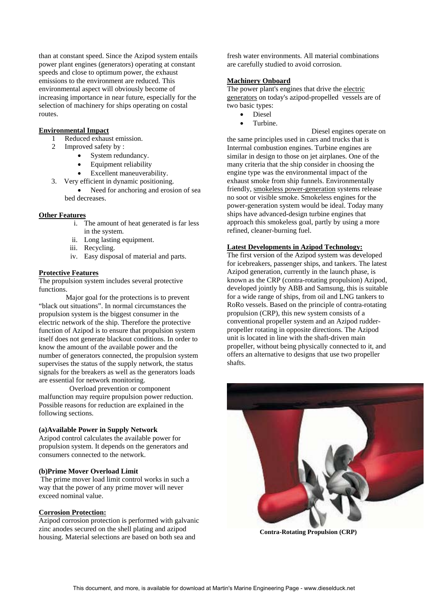than at constant speed. Since the Azipod system entails power plant engines (generators) operating at constant speeds and close to optimum power, the exhaust emissions to the environment are reduced. This environmental aspect will obviously become of increasing importance in near future, especially for the selection of machinery for ships operating on costal routes.

# **Environmental Impact**

- 1 Reduced exhaust emission.
- 2 Improved safety by :
	- System redundancy.
	- Equipment reliability
	- Excellent maneuverability.
- 3. Very efficient in dynamic positioning.
	- Need for anchoring and erosion of sea bed decreases.

# **Other Features**

- i. The amount of heat generated is far less in the system.
- ii. Long lasting equipment.
- iii. Recycling.
- iv. Easy disposal of material and parts.

# **Protective Features**

The propulsion system includes several protective functions.

 Major goal for the protections is to prevent "black out situations". In normal circumstances the propulsion system is the biggest consumer in the electric network of the ship. Therefore the protective function of Azipod is to ensure that propulsion system itself does not generate blackout conditions. In order to know the amount of the available power and the number of generators connected, the propulsion system supervises the status of the supply network, the status signals for the breakers as well as the generators loads are essential for network monitoring.

 Overload prevention or component malfunction may require propulsion power reduction. Possible reasons for reduction are explained in the following sections.

# **(a)Available Power in Supply Network**

Azipod control calculates the available power for propulsion system. It depends on the generators and consumers connected to the network.

# **(b)Prime Mover Overload Limit**

 The prime mover load limit control works in such a way that the power of any prime mover will never exceed nominal value.

# **Corrosion Protection:**

Azipod corrosion protection is performed with galvanic zinc anodes secured on the shell plating and azipod housing. Material selections are based on both sea and

fresh water environments. All material combinations are carefully studied to avoid corrosion.

# **Machinery Onboard**

The power plant's engines that drive the electric generators on today's azipod-propelled vessels are of two basic types:

- Diesel
- Turbine.

Diesel engines operate on

friendly, smokeless power-generation systems release the same principles used in cars and trucks that is Interrnal combustion engines. Turbine engines are similar in design to those on jet airplanes. One of the many criteria that the ship consider in choosing the engine type was the environmental impact of the exhaust smoke from ship funnels. Environmentally no soot or visible smoke. Smokeless engines for the power-generation system would be ideal. Today many ships have advanced-design turbine engines that approach this smokeless goal, partly by using a more refined, cleaner-burning fuel.

# **Latest Developments in Azipod Technology:**

The first version of the Azipod system was developed for icebreakers, passenger ships, and tankers. The latest Azipod generation, currently in the launch phase, is known as the CRP (contra-rotating propulsion) Azipod, developed jointly by ABB and Samsung, this is suitable for a wide range of ships, from oil and LNG tankers to RoRo vessels. Based on the principle of contra-rotating propulsion (CRP), this new system consists of a conventional propeller system and an Azipod rudderpropeller rotating in opposite directions. The Azipod unit is located in line with the shaft-driven main propeller, without being physically connected to it, and offers an alternative to designs that use two propeller shafts.



**Contra-Rotating Propulsion (CRP)**